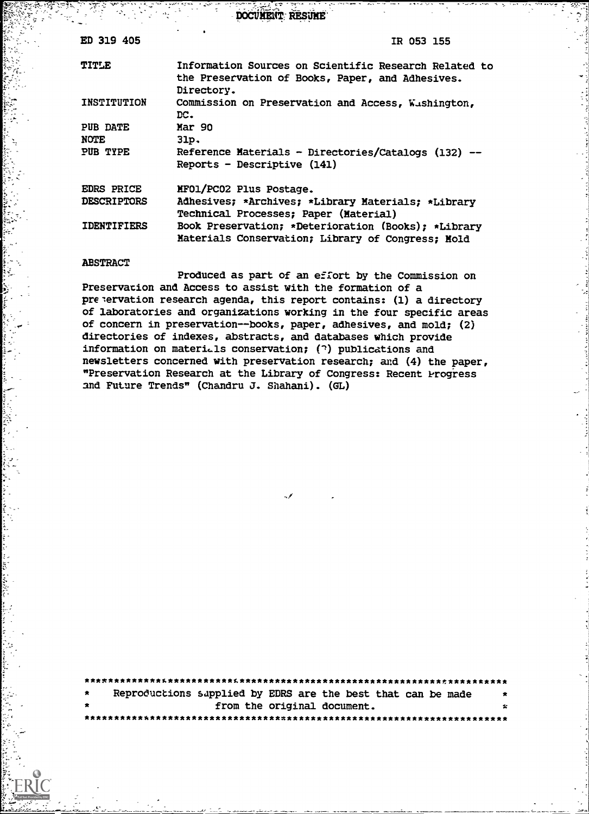| ാന്ത്യ കാര്യക്കാന് പ്രവാഹം കാര്യങ്ങളില് പ്രവാഹം കാര്യങ്ങളില് കാര്യങ്ങളില് കാര്യങ്ങളില് കാര്യങ്ങളില് കാര്യങ്ങളി |  |
|----------------------------------------------------------------------------------------------------------------|--|
| <b>DOCUMENT, RESUME'</b>                                                                                       |  |
|                                                                                                                |  |
|                                                                                                                |  |
|                                                                                                                |  |
|                                                                                                                |  |
|                                                                                                                |  |

| ED 319 405                     | IR 053 155                                                                                                              |
|--------------------------------|-------------------------------------------------------------------------------------------------------------------------|
| <b>TITLE</b>                   | Information Sources on Scientific Research Related to<br>the Preservation of Books, Paper, and Adhesives.<br>Directory. |
| INSTITUTION                    | Commission on Preservation and Access, Wushington,<br>$_{\rm DC}$ .                                                     |
| <b>PUB DATE</b><br><b>NOTE</b> | Mar 90<br>31p.                                                                                                          |
| PUB TYPE                       | Reference Materials - Directories/Catalogs (132) --<br>Reports - Descriptive (141)                                      |
| <b>EDRS PRICE</b>              | MF01/PC02 Plus Postage.                                                                                                 |
| <b>DESCRIPTORS</b>             | Adhesives; *Archives; *Library Materials; *Library<br>Technical Processes; Paper (Material)                             |
| <b>IDENTIFIERS</b>             | Book Preservation; *Deterioration (Books); *Library<br>Materials Conservation; Library of Congress; Mold                |

#### ABSTRACT

Į.

Į. 

Produced as part of an effort by the Commission on Preservation and Access to assist with the formation of a pre tervation research agenda, this report contains: (1) a directory of laboratories and organizations working in the four specific areas of concern in preservation--books, paper, adhesives, and mold; (2) directories of indexes, abstracts, and databases which provide information on materials conservation; (?) publications and newsletters concerned with preservation research; and (4) the paper, "Preservation Research at the Library of Congress: Recent Progress and Future Trends" (Chandru J. Shahani). (GL)

Reproductions sapplied by EDRS are the best that can be made from the original document. $\mathbf{r}$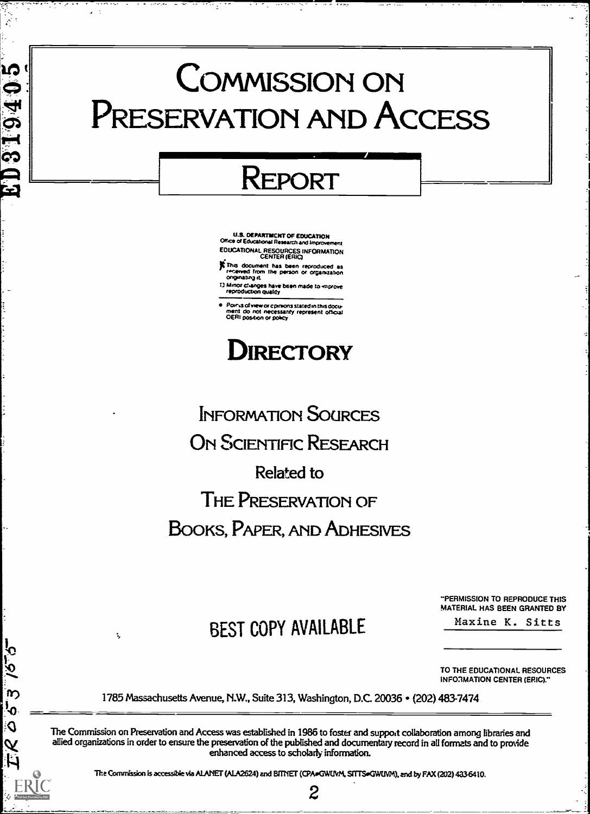# ( COMMISSION ON PRESERVATION AND ACCESS

 $319405$ 

ای جات

້າກ i<br>O S,  $\overline{\mathsf{X}}$ 

## REPORT

U.S. DEPARTMENT OF EDUCATION<br>Office of Educational Research and Improvement EDUCATIONAL RESOURCES INFORMATION CENTER (ERIC)

**The document has been reproduced as<br>impresent from the person or organization originating it.** 

U Minor changes have been made to «nprove<br>reproduction quality

Poinis of view or cpinions stated in this docu-<br>ment do inot inecessarily represent lofficial<br>OERI position or pobcy

## **DIRECTORY**

INFORMATION SOURCES ON SCIENTIFIC RESEARCH Related to THE PRESERVATION OF BOOKS, PAPER, AND ADHESIVES

## BEST COPY AVAILABLE

t,

"PERMISSION TO REPRODUCE THIS MATERIAL HAS BEEN GRANTED BY

Maxine K. Sitts

TO THE EDUCATIONAL RESOURCES **INFORMATION CENTER (ERIC)."** 

1785 Massachusetts Avenue, N.W., Suite 313, Washington, D.C. 20036 • (202) 483-7474

The Commission on Preservation and Access was established in 1986 to foster and support collaboration among libraries and allied organizations in order to ensure the preservation of the published and documentary record in all formats and to provide enhanced access to scholarly information.

The Commission is accessible via ALANET (ALA2624) and BITNET (CPA=GWLIVM, SITTS=GWLIVM), and by FAX (202) 433-6410.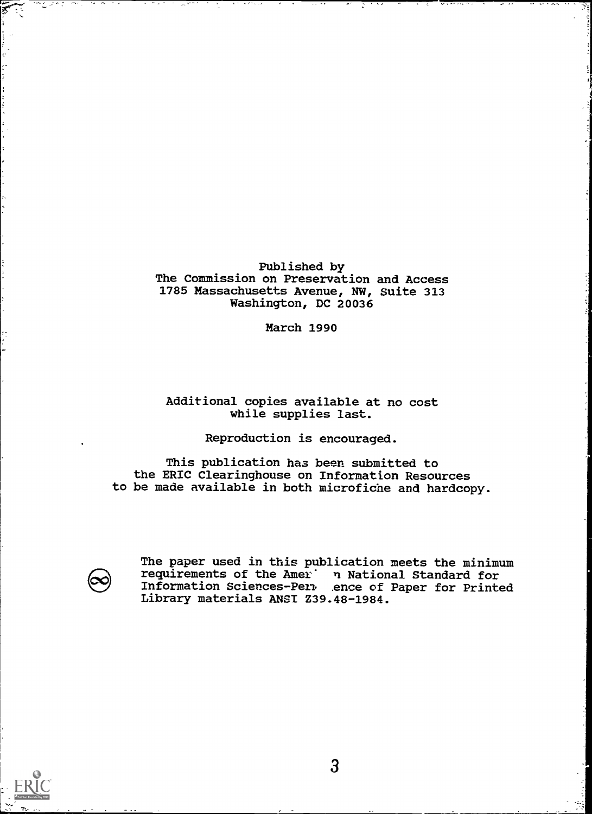Published by The Commission on Preservation and Access 1785 Massachusetts Avenue, NW, Suite 313 Washington, DC 20036

March 1990

#### Additional copies available at no cost while supplies last.

Reproduction is encouraged.

This publication has been submitted to the ERIC Clearinghouse on Information Resources to be made available in both microfiche and hardcopy.



The paper used in this publication meets the minimum<br>requirements of the Amer' n National Standard for<br>Information Sciences-Permence of Paper for Printed<br>Library materials ANSI 239.48-1984. The paper used in this publication meets the minimum Information Sciences -Pens .ence of Paper for Printed Library materials ANSI Z39.48-1984.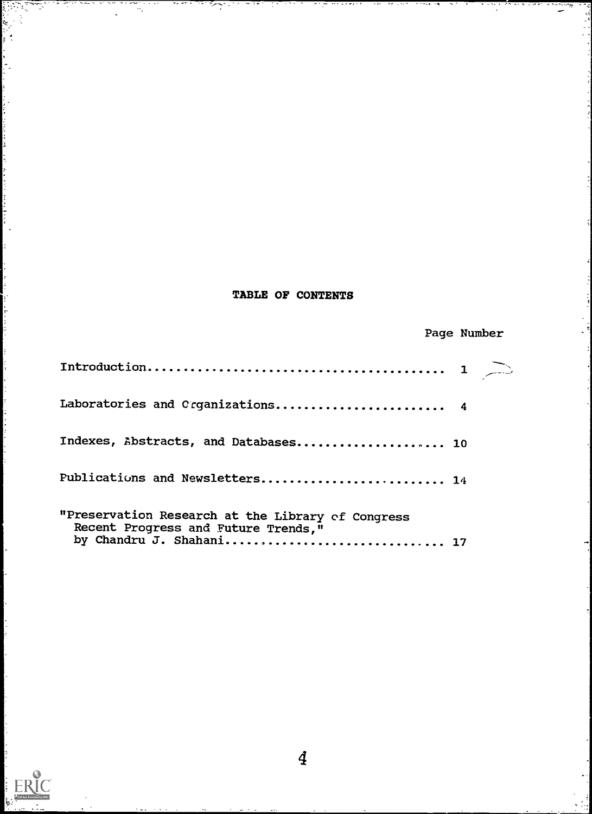### TABLE OF CONTENTS

## Page Number

n tirin<br>Turk

 $\sim$ 

ة<br>مراجع

| Laboratories and Crganizations 4                                                                                     |  |
|----------------------------------------------------------------------------------------------------------------------|--|
| Indexes, Abstracts, and Databases 10                                                                                 |  |
| Publications and Newsletters 14                                                                                      |  |
| "Preservation Research at the Library of Congress<br>Recent Progress and Future Trends,"<br>by Chandru J. Shahani 17 |  |



K.

eli<br>1999 - Paris II.an<br>1999 - Albanis

ï  $\frac{1}{2}$ 

 $\frac{1}{2}$ 

 $\frac{1}{2}$  $\frac{1}{2}$ 

 $\label{eq:1} \begin{split} \mathcal{L}_{\text{max}}(\mathbf{r},\mathbf{r}) = \mathcal{L}_{\text{max}}(\mathbf{r},\mathbf{r}) \end{split}$ 

**Contractor** 

Ġ.

المتواط والمتواط والمتعارف والمتعاون

ķ. F.

> þ. ķ.

 $\frac{1}{2}$ 

के जुलुरा चिक्र<br>ज

 $\overline{1}$ 

 $\tilde{\mathcal{C}}_{\bullet}$ 

×

ببسرين

 $\ddot{4}$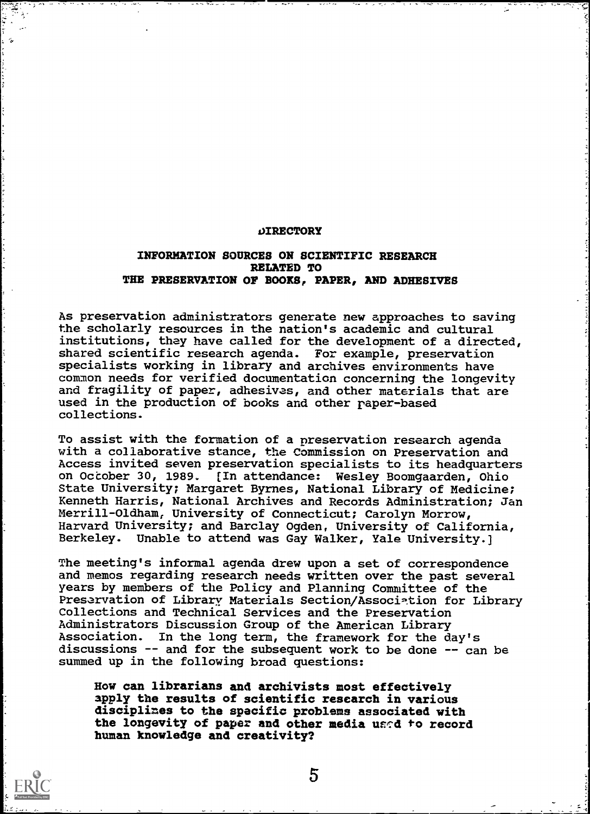#### **DIRECTORY**

#### INFORMATION SOURCES ON SCIENTIFIC RESEARCH RELATED TO THE PRESERVATION OF BOOKS, PAPER, AND ADHESIVES

As preservation administrators generate new approaches to saving the scholarly resources in the nation's academic and cultural institutions, they have called for the development of a directed, shared scientific research agenda. For example, preservation specialists working in library and archives environments have common needs for verified documentation concerning the longevity and fragility of paper, adhesives, and other materials that are used in the production of books and other paper-based collections.

To assist with the formation of a preservation research agenda with a collaborative stance, the Commission on Preservation and Access invited seven preservation specialists to its headquarters on October 30, 1989. [In attendance: Wesley Boomgaarden, Ohio State University; Margaret Byrnes, National Library of Medicine; Kenneth Harris, National Archives and Records Administration; Jan Merrill-Oldham, University of Connecticut; Carolyn Morrow, Harvard University; and Barclay Ogden, University of California, Berkeley. Unable to attend was Gay Walker, Yale University.]

The meeting's informal agenda drew upon a set of correspondence and memos regarding research needs written over the past several years by members of the Policy and Planning Committee of the Preservation of Library Materials Section/Association for Library Collections and Technical Services and the Preservation Administrators Discussion Group of the American Library Association. In the long term, the framework for the day's discussions -- and for the subsequent work to be done -- can be summed up in the following broad questions:

How can librarians and archivists most effectively apply the results of scientific research in various disciplines to the specific problems associated with the longevity of paper and other media used to record human knowledge and creativity?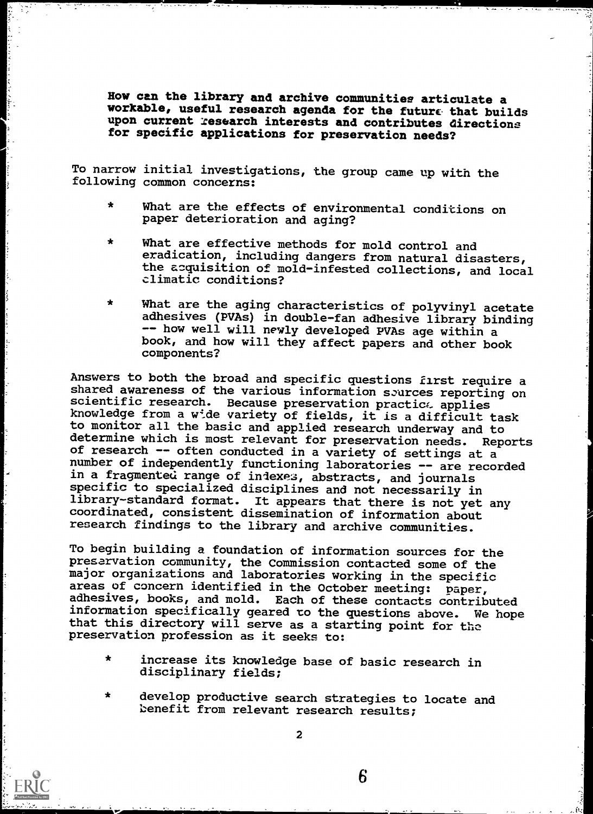How can the library and archive communities articulate a workable, useful research agenda for the future that builds upon current research interests and contributes directions for specific applications for preservation needs?

To narrow initial investigations, the group came up with the following common concerns:

- $\star$ What are the effects of environmental conditions on paper deterioration and aging?
- What are effective methods for mold control and  $\bullet$ eradication, including dangers from natural disasters, the acquisition of mold-infested collections, and local climatic conditions?
- $\star$ What are the aging characteristics of polyvinyl acetate adhesives (PVAs) in double-fan adhesive library binding -- how well will newly developed PVAs age within a book, and how will they affect papers and other book components?

Answers to both the broad and specific questions first require a shared awareness of the various information sources reporting on scientific research. Because preservation practice applies knowledge from a wide variety of fields, it is a difficult task to monitor all the basic and applied research underway and to determine which is most relevant for preservation needs. Reports of research -- often conducted in a variety of settings at a number of independently functioning laboratories -- are recorded in a fragmented range of indexes, abstracts, and journals specific to specialized disciplines and not necessarily in library-standard format. It appears that there is not yet any coordinated, consistent dissemination of information about research findings to the library and archive communities.

To begin building a foundation of information sources for the preservation community, the Commission contacted some of the major organizations and laboratories working in the specific<br>areas of concern identified in the October meeting: paper, adhesives, books, and mold. Each of these contacts contributed information specifically geared to the questions above. We hope that this directory will serve as a starting point for tie preservation profession as it seeks to:

- $\star$ increase its knowledge base of basic research in disciplinary fields;
- $\star$ develop productive search strategies to locate and benefit from relevant research results;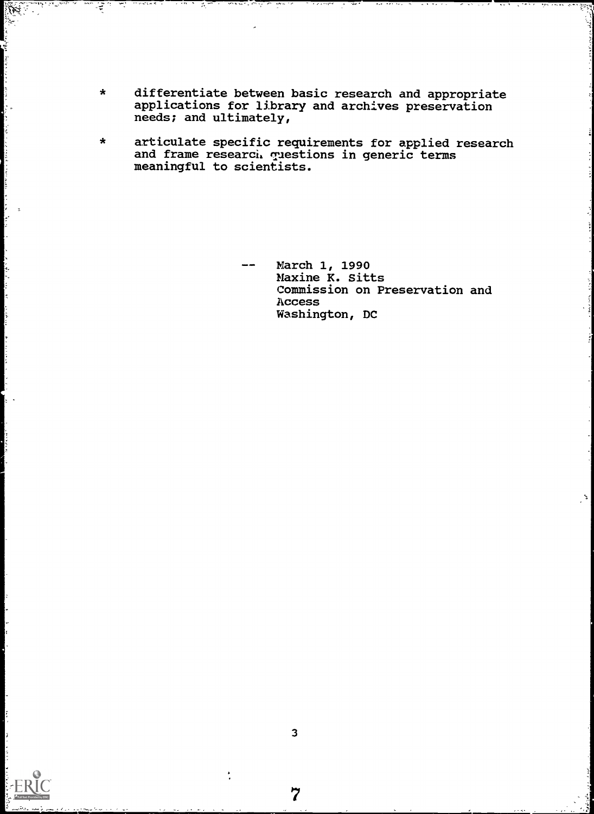differentiate between basic research and appropriate  $\star$ applications for library and archives preservation needs; and ultimately,

ξ

 $\Omega$ 

 $\star$ articulate specific requirements for applied research and frame researci. questions in generic terms meaningful to scientists.

> March 1, 1990 Maxine K. Sitts Commission on Preservation and Access Washington, DC

 $\overline{7}$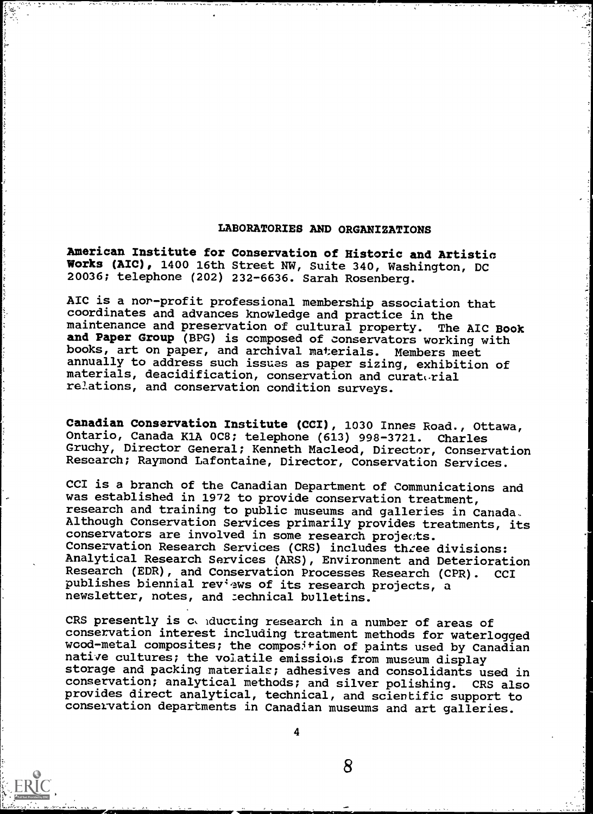#### LABORATORIES AND ORGANIZATIONS

American Institute for Conservation of Historic and Artistic Works (AIC), 1400 16th Street NW, Suite 340, Washington, DC 20036; telephone (202) 232-6636. Sarah Rosenberg.

AIC is a nor-profit professional membership association that coordinates and advances knowledge and practice in the maintenance and preservation of cultural property. The AIC Book and Paper Group (BPG) is composed of conservators working with books, art on paper, and archival materials. Members meet annually to address such issues as paper sizing, exhibition of materials, deacidification, conservation and curaterial relations, and conservation condition surveys.

Canadian Conservation Institute (CCI), 1030 Innes Road., Ottawa, Ontario, Canada K1A 008; telephone (613) 998-3721. Charles Gruchy, Director General; Kenneth Macleod, Director, Conservation Research; Raymond Lafontaine, Director, Conservation Services.

CCI is a branch of the Canadian Department of Communications and was established in 1972 to provide conservation treatment, research and training to public museums and galleries in Canada, Although Conservation Services primarily provides treatments, its conservators are involved in some research projects. Conservation Research Services (CRS) includes three divisions: Analytical Research Services (ARS), Environment and Deterioration Research (EDR), and Conservation Processes Research (CPR). CCI publishes biennial rev<sup>4</sup> ws of its research projects, a newsletter, notes, and :echnical bulletins.

CRS presently is conducting research in a number of areas of conservation interest including treatment methods for waterlogged wood-metal composites; the composition of paints used by Canadian native cultures; the volatile emissiohs from museum display storage and packing materials; adhesives and consolidants used in conservation; analytical methods; and silver polishing. CRS also provides direct analytical, technical, and scientific support to conservation departments in Canadian museums and art galleries.

1111111a11111111111111.1111111MOMMEN,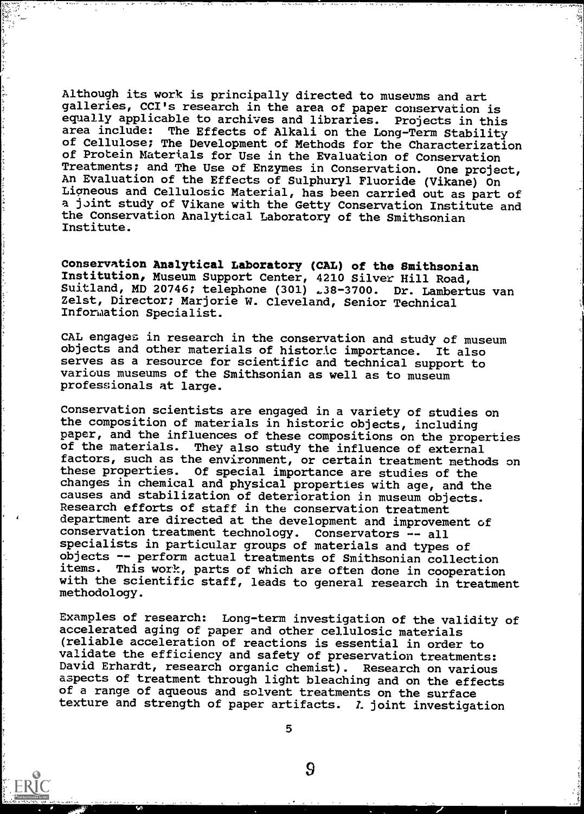Although its work is principally directed to museums and art galleries, CCI's research in the area of paper conservation is<br>equally applicable to archives and libraries. Projects in this equally applicable to archives and libraries. area include: The Effects of Alkali on the Long-Term Stability of Cellulose; The Development of Methods for the Characterization of Protein Materials for Use in the Evaluation of Conservation Treatments; and The Use of Enzymes in Conservation. One project, An Evaluation of the Effects of Sulphuryl Fluoride (Vikane) On Ligneous and Cellulosic Material, has been carried out as part of a joint study of Vikane with the Getty Conservation Institute and the Conservation Analytical Laboratory of the Smithsonian Institute.

Conservation Analytical Laboratory (CAL) of the Smithsonian Institution, Museum Support Center, 4210 Silver Hill Road, Suitland, MD 20746; telephone (301) <sub>-</sub>38-3700. Dr. Lambertus van Zelst, Director; Marjorie W. Cleveland, Senior Technical Information Specialist.

CAL engages in research in the conservation and study of museum<br>objects and other materials of historic importance. It also objects and other materials of historic importance. serves as a resource for scientific and technical support to various museums of the Smithsonian as well as to museum professionals at large.

Conservation scientists are engaged in a variety of studies on the composition of materials in historic objects, including paper, and the influences of these compositions on the properties of the materials. They also study the influence of external factors, such as the environment, or certain treatment methods on these properties. Of special importance are studies of the changes in chemical and physical properties with age, and the causes and stabilization of deterioration in museum objects. Research efforts of staff in the conservation treatment department are directed at the development and improvement of conservation treatment technology. Conservators -- all specialists in particular groups of materials and types of objects -- perform actual treatments of Smithsonian collection<br>items. This work, parts of which are often done in cooperation This work, parts of which are often done in cooperation with the scientific staff, leads to general research in treatment methodology.

Examples of research: Long-term investigation of the validity of accelerated aging of paper and other cellulosic materials (reliable acceleration of reactions is essential in order to validate the efficiency and safety of preservation treatments: David Erhardt, research organic chemist). Research on various aspects of treatment through light bleaching and on the effects of a range of aqueous and solvent treatments on the surface texture and strength of paper artifacts. *I* joint investigation

5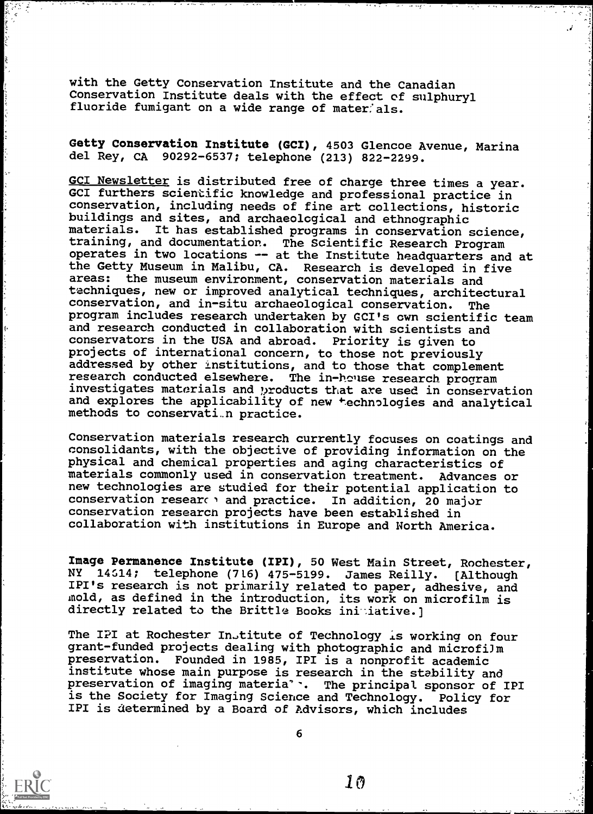with the Getty Conservation Institute and the Canadian Conservation Institute deals with the effect of sulphuryl fluoride fumigant on a wide range of materials.

Getty Conservation Institute (GCI), 4503 Glencoe Avenue, Marina del Rey, CA 90292-6537; telephone (213) 822-2299.

GCI Newsletter is distributed free of charge three times a year. GCI furthers scientific knowledge and professional practice in conservation, including needs of fine art collections, historic buildings and sites, and archaeological and ethnographic<br>materials. It has established programs in conservation It has established programs in conservation science, training, and documentation. The Scientific Research Program operates in two locations -- at the Institute headquarters and at the Getty Museum in Malibu, CA. Research is developed in five areas: the museum environment, conservation materials and the museum environment, conservation materials and techniques, new or improved analytical techniques, architectural conservation, and in-situ archaeological conservation. The program includes research undertaken by GCI's own scientific team and research conducted in collaboration with scientists and conservators in the USA and abroad. Priority is given to projects of international concern, to those not previously addressed by other institutions, and to those that complement research conducted elsewhere. The in-house research program investigates materials and products that are used in conservation and explores the applicability of new technologies and analytical methods to conservati\_n practice.

Conservation materials research currently focuses on coatings and consolidants, with the objective of providing information on the physical and chemical properties and aging characteristics of materials commonly used in conservation treatment. Advances or new technologies are studied for their potential application to conservation research and practice. In addition, 20 major conservation research projects have been established in collaboration with institutions in Europe and North America.

Image Permanence Institute (IPI), 50 West Main Street, Rochester, NY 14514; telephone (716) 475-5199. James Reilly. [Although IPI's research is not primarily related to paper, adhesive, and mold, as defined in the introduction, its work on microfilm is directly related to the Brittle Books initiative.]

The IPI at Rochester In.titute of Technology is working on four grant-funded projects dealing with photographic and microfilm preservation. Founded in 1985, IPI is a nonprofit academic institute whose main purpose is research in the stability and preservation of imaging materia' . The principal sponsor of IPI is the Society for Imaging Science and Technology. Policy for IPI is determined by a Board of Advisors, which includes

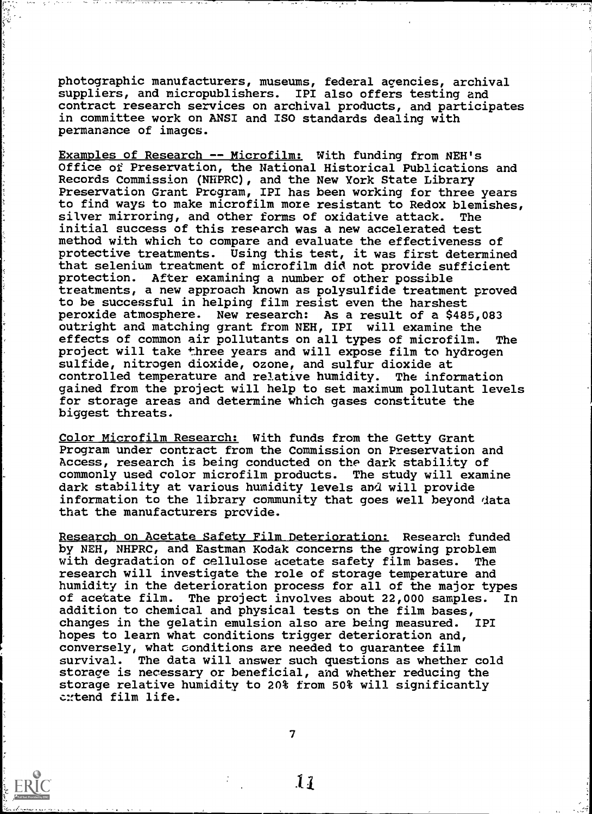photographic manufacturers, museums, federal agencies, archival suppliers, and micropublishers. IPI also offers testing and contract research services on archival products, and participates in committee work on ANSI and ISO standards dealing with permanance of images.

Examples of Research -- Microfilm: With funding from NEH's Office of Preservation, the National Historical Publications and Records Commission (NHPRC), and the New York State Library Preservation Grant Program, IPI has been working for three years to find ways to make microfilm more resistant to Redox blemishes, silver mirroring, and other forms of oxidative attack. The initial success of this research was a new accelerated test method with which to compare and evaluate the effectiveness of protective treatments. Using this test, it was first determined that selenium treatment of microfilm did not provide sufficient protection. After examining a number of other possible treatments, a new approach known as polysulfide treatment proved to be successful in helping film resist even the harshest peroxide atmosphere. New research: As a result of a \$485,083 outright and matching grant from NEH, IPI will examine the effects of common air pollutants on all types of microfilm. The project will take three years and will expose film to hydrogen sulfide, nitrogen dioxide, ozone, and sulfur dioxide at controlled temperature and relative humidity. The information gained from the project will help to set maximum pollutant levels for storage areas and determine which gases constitute the biggest threats.

Color Microfilm Research: With funds from the Getty Grant Program under contract from the Commission on Preservation and Access, research is being conducted on the dark stability of commonly used color microfilm products. The study will examine dark stability at various humidity levels and will provide information to the library community that goes well beyond data that the manufacturers provide.

Research on Acetate Safety Film Deterioration: Research funded by NEH, NHPRC, and Eastman Kodak concerns the growing problem with degradation of cellulose acetate safety film bases. The research will investigate the role of storage temperature and humidity in the deterioration process for all of the major types of acetate film. The project involves about 22,000 samples. In addition to chemical and physical tests on the film bases, changes in the gelatin emulsion also are being measured. IPI hopes to learn what conditions trigger deterioration and, conversely, what conditions are needed to guarantee film survival. The data will answer such questions as whether cold storage is necessary or beneficial, and whether reducing the storage relative humidity to 20% from 50% will significantly cxtend film life.

7

1.1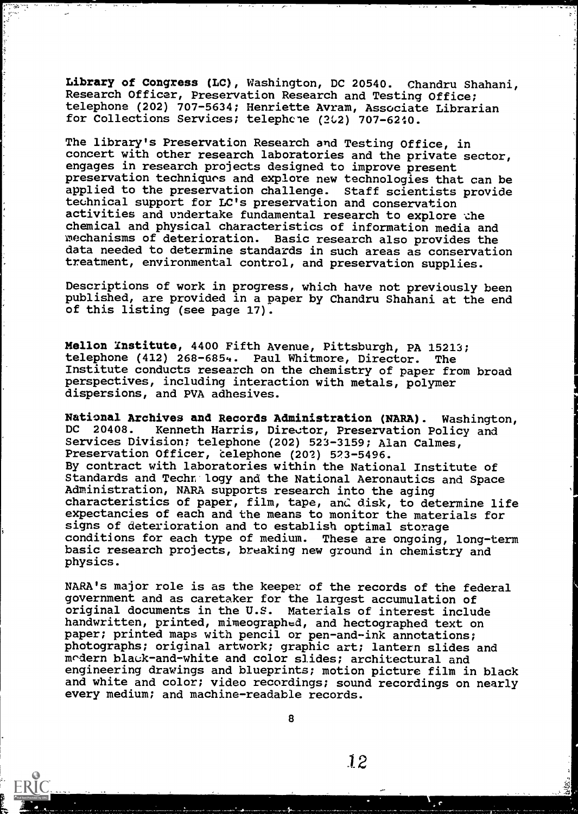Library of Congress (LC), Washington, DC 20540. Chandru Shahani, Research Officer, Preservation Research and Testing Office; telephone (202) 707-5634; Henriette Avram, Associate Librarian for Collections Services; telephcle (202) 707-6240.

The library's Preservation Research and Testing Office, in concert with other research laboratories and the private sector, engages in research projects designed to improve present preservation techniques and explore new technologies that can be applied to the preservation challenge. Staff scientists provide technical support for LC's preservation and conservation activities and undertake fundamental research to explore the chemical and physical characteristics of information media and mechanisms of deterioration. Basic research also provides the data needed to determine standards in such areas as conservation treatment, environmental control, and preservation supplies.

Descriptions of work in progress, which have not previously been published, are provided in a paper by Chandru Shahani at the end of this listing (see page 17).

Mellon Institute, 4400 Fifth Avenue, Pittsburgh, PA 15213; telephone (412) 268-6854. Paul Whitmore, Director. The Institute conducts research on the chemistry of paper from broad perspectives, including interaction with metals, polymer dispersions, and PVA adhesives.

National Archives and Records Administration (NARA). Washington,<br>DC 20408. Kenneth Harris, Director, Preservation Policy and Kenneth Harris, Director, Preservation Policy and Services Division; telephone (202) 523-3159; Alan Calmes, Preservation Officer, telephone (202) 523-5496. By contract with laboratories within the National Institute of Standards and Techn logy and the National Aeronautics and Space Administration, NARA supports research into the aging characteristics of paper, film, tape, and disk, to determine life expectancies of each and the means to monitor the materials for signs of deterioration and to establish optimal storage conditions for each type of medium. These are ongoing, long-term basic research projects, breaking new ground in chemistry and physics.

NARA's major role is as the keeper of the records of the federal government and as caretaker for the largest accumulation of original documents in the U.S. Materials of interest include handwritten, printed, mimeographed, and hectographed text on paper; printed maps with pencil or pen-and-ink annotations; photographs; original artwork; graphic art; lantern slides and modern black-and-white and color slides; architectural and engineering drawings and blueprints; motion picture film in black and white and color; video recordings; sound recordings on nearly every medium; and machine-readable records.

8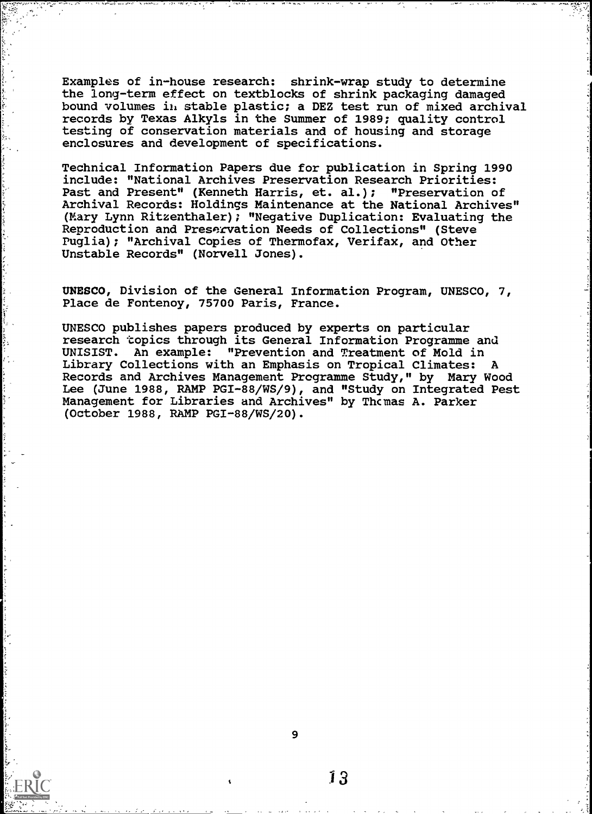Examples of in-house research: shrink-wrap study to determine the long-term effect on textblocks of shrink packaging damaged bound volumes ih stable plastic; a DEZ test run of mixed archival records by Texas Alkyls in the Summer of 1989; quality control testing of conservation materials and of housing and storage enclosures and development of specifications.

Technical Information Papers due for publication in Spring 1990 include: "National Archives Preservation Research Priorities: Past and Present" (Kenneth Harris, et. al.); "Preservation of Archival Records: Holdings Maintenance at the National Archives" (Mary Lynn Ritzenthaler); "Negative Duplication: Evaluating the Reproduction and Preservation Needs of Collections" (Steve Puglia); "Archival Copies of Thermofax, Verifax, and Other Unstable Records" (Norvell Jones).

UNESCO, Division of the General Information Program, UNESCO, 7, Place de Fontenoy, 75700 Paris, France.

UNESCO publishes papers produced by experts on particular research topics through its General Information Programme and UNISIST. An example: "Prevention and Treatment of Mold in Library Collections with an Emphasis on Tropical Climates: A Records and Archives Management Programme Study," by Mary Wood Lee (June 1988, RAMP PGI-88/WS/9), and "Study on Integrated Pest Management for Libraries and Archives" by Thcmas A. Parker (October 1988, RAMP PGI-88/WS/20).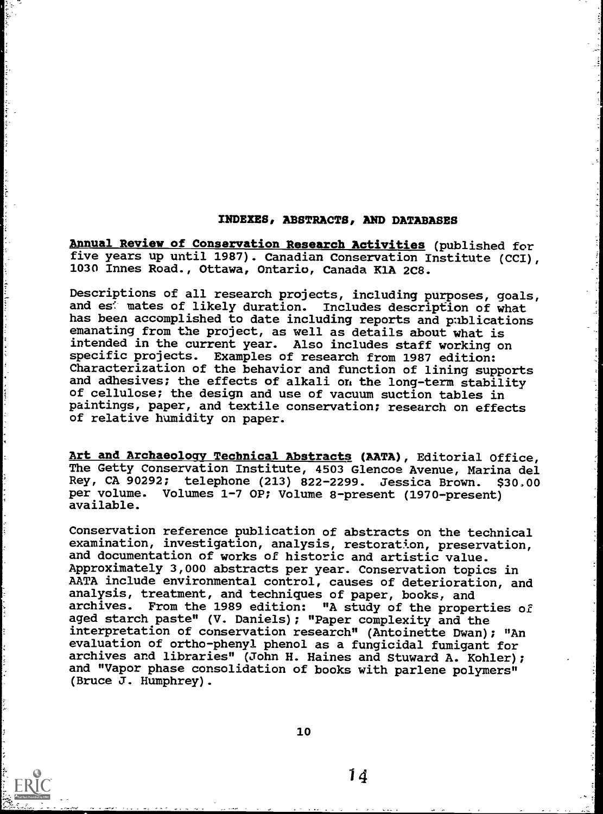#### INDEXES, ABSTRACTS, AND DATABASES

Annual Review of Conservation Research Activities (published for five years up until 1987). Canadian Conservation Institute (CCI), 1030 Innes Road., Ottawa, Ontario, Canada K1A 2C8.

Descriptions of all research projects, including purposes, goals, and est mates of likely duration. Includes description of what has been accomplished to date including reports and publications emanating from the project, as well as details about what is intended in the current year. Also includes staff working on specific projects. Examples of research from 1987 edition: Characterization of the behavior and function of lining supports and adhesives; the effects of alkali on the long-term stability of cellulose; the design and use of vacuum suction tables in paintings, paper, and textile conservation; research on effects of relative humidity on paper.

Art and Archaeology Technical Abstracts (AATA), Editorial Office, The Getty Conservation Institute, 4503 Glencoe Avenue, Marina del Rey, CA 90292; telephone (213) 822-2299. Jessica Brown. \$30,00 per volume. Volumes 1-7 OP; Volume 8-present (1970-present) available.

Conservation reference publication of abstracts on the technical examination, investigation, analysis, restoration, preservation, and documentation of works of historic and artistic value. Approximately 3,000 abstracts per year. Conservation topics in AATA include environmental control, causes of deterioration, and analysis, treatment, and techniques of paper, books, and From the 1989 edition: "A study of the properties of aged starch paste" (V. Daniels); "Paper complexity and the interpretation of conservation research" (Antoinette Dwan); "An evaluation of ortho-phenyl phenol as a fungicidal fumigant for archives and libraries" (John H. Haines and Stuward A. Kohler); and "Vapor phase consolidation of books with parlene polymers" (Bruce J. Humphrey).

10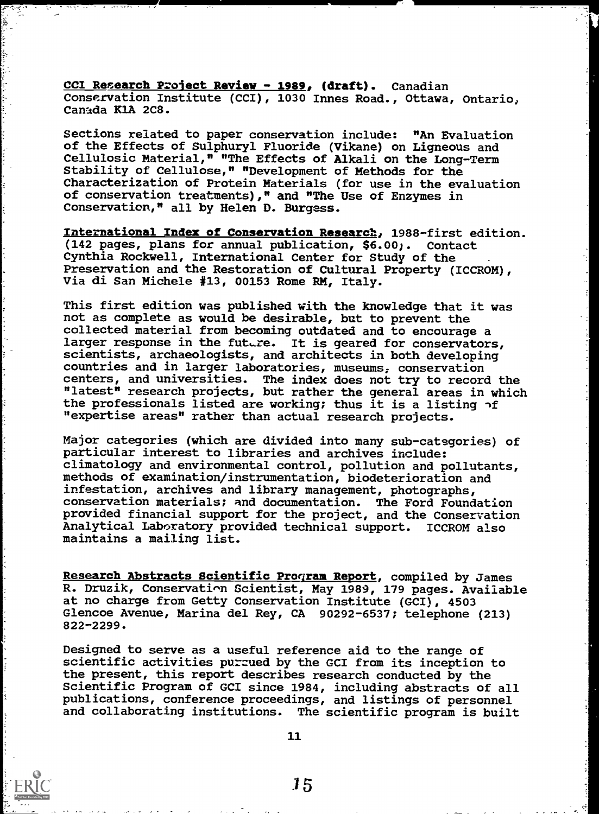CCI Research Project Review - 1989, (draft). Canadian Conservation Institute (CCI), 1030 Innes Road., Ottawa, Ontario, Canada K1A 2C8.

Sections related to paper conservation include: "An Evaluation of the Effects of Sulphuryl Fluoride (Vikane) on Ligneous and Cellulosic Material," "The Effects of Alkali on the Long-Term Stability of Cellulose," "Development of Methods for the Characterization of Protein Materials (for use in the evaluation of conservation treatments)," and "The Use of Enzymes in Conservation," all by Helen D. Burgess.

International Index of Conservation Research, 1988-first edition. (142 pages, plans for annual publication, \$6.00). Contact Cynthia Rockwell, International Center for Study of the Preservation and the Restoration of Cultural Property (ICCROM), Via di San Michele #13, 00153 Rome RM, Italy.

This first edition was published with the knowledge that it was not as complete as would be desirable, but to prevent the collected material from becoming outdated and to encourage a larger response in the future. It is geared for conservators, scientists, archaeologists, and architects in both developing countries and in larger laboratories, museums, conservation centers, and universities. The index does not try to record the "latest" research projects, but rather the general areas in which the professionals listed are working; thus it is a listing of "expertise areas" rather than actual research projects.

Major categories (which are divided into many sub-categories) of particular interest to libraries and archives include: climatology and environmental control, pollution and pollutants, methods of examination/instrumentation, biodeterioration and infestation, archives and library management, photographs, conservation materials; and documentation. The Ford Foundation provided financial support for the project, and the Conservation Analytical Laboratory provided technical support. ICCROM also maintains a mailing list.

Research Abstracts Scientific Program Report, compiled by James R. Druzik, Conservation Scientist, May 1989, 179 pages. Available at no charge from Getty Conservation Institute (GCI), 4503 Glencoe Avenue, Marina del Rey, CA 90292-6537; telephone (213) 822-2299.

Designed to serve as a useful reference aid to the range of scientific activities pursued by the GCI from its inception to the present, this report describes research conducted by the Scientific Program of GCI since 1984, including abstracts of all publications, conference proceedings, and listings of personnel and collaborating institutions. The scientific program is built

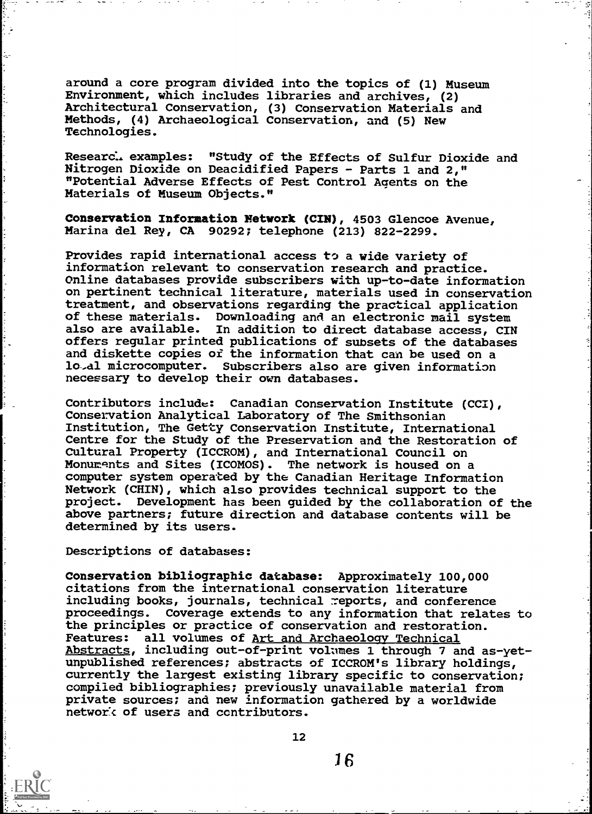around a core program divided into the topics of (1) Museum Environment, which includes libraries and archives, (2) Architectural Conservation, (3) Conservation Materials and Methods, (4) Archaeological Conservation, and (5) New Technologies.

Researcl examples: "Study of the Effects of Sulfur Dioxide and Nitrogen Dioxide on Deacidified Papers - Parts 1 and 2," "Potential Adverse Effects of Pest Control Agents on the Materials of Museum Objects."

Conservation Information Network (CIN), 4503 Glencoe Avenue, Marina del Rey, CA 90292; telephone (213) 822-2299.

Provides rapid international access to a wide variety of information relevant to conservation research and practice. Online databases provide subscribers with up-to-date information on pertinent technical literature, materials used in conservation treatment, and observations regarding the practical application of these materials. Downloading and an electronic nail system also are available. In addition to direct database access, CIN offers regular printed publications of subsets of the databases and diskette copies of the information that can be used on a lo-al microcomputer. Subscribers also are given information necessary to develop their own databases.

Contributors include: Canadian Conservation Institute (CCU), Conservation Analytical Laboratory of The Smithsonian Institution, The Getty Conservation Institute, International Centre for the Study of the Preservation and the Restoration of Cultural Property (ICCROM), and International Council on Monuments and Sites (ICOMOS). The network is housed on a computer system operated by the Canadian Heritage Information Network (CHIN), which also provides technical support to the Development has been guided by the collaboration of the above partners; future direction and database contents will be determined by its users.

Descriptions of databases:

Conservation bibliographic database: Approximately 100,000 citations from the international conservation literature including books, journals, technical reports, and conference<br>proceedings. Coverage extends to any information that relate Coverage extends to any information that relates to the principles or practice of conservation and restoration. Features: all volumes of Art and Archaeology Technical Abstracts, including out-of-print volumes 1 through 7 and as-yetunpublished references; abstracts of ICCROM's library holdings, currently the largest existing library specific to conservation; compiled bibliographies; previously unavailable material from private sources; and new information gathered by a worldwide network of users and contributors.



12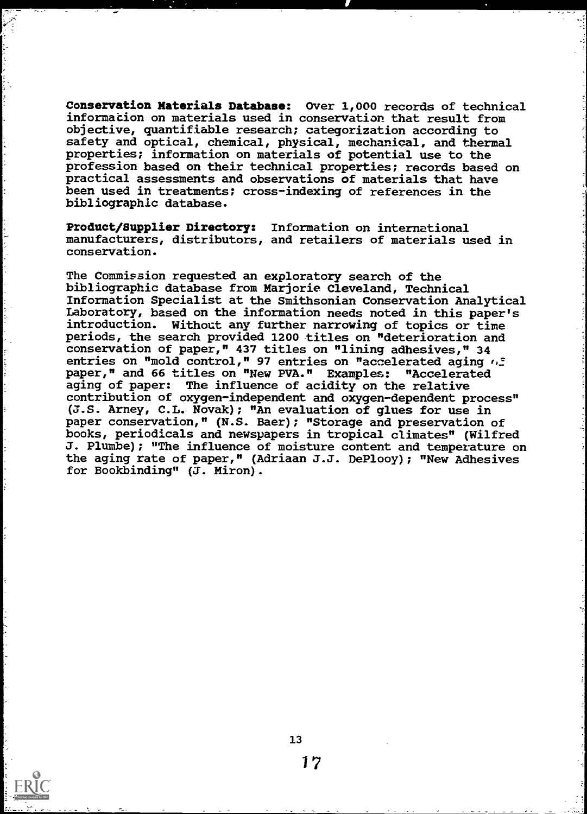Conservation Materials Database: Over 1,000 records of technical information on materials used in conservation that result from objective, quantifiable research; categorization according to safety and optical, chemical, physical, mechanical, and thermal properties; information on materials of potential use to the profession based on their technical properties; records based on practical assessments and observations of materials that have been used in treatments; cross-indexing of references in the bibliographic database.

Product/Supplier Directory: Information on international manufacturers, distributors, and retailers of materials used in conservation.

The Commission requested an exploratory search of the bibliographic database from Marjorie Cleveland, Technical Information Specialist at the Smithsonian Conservation Analytical Laboratory, based on the information needs noted in this paper's introduction. Without any further narrowing of topics or time periods, the search provided 1200 titles on "deterioration and conservation of paper," 437 titles on "lining adhesives," 34 entries on "mold control," 97 entries on "accelerated aging  $\sqrt{s}$ paper," and 66 titles on "New PVA." Examples: "Accelerated aging of paper: The influence of acidity on the relative contribution of oxygen-independent and oxygen-dependent process" (J.S. Arney, C.L. Novak); "An evaluation of glues for use in paper conservation," (N.S. Baer); "Storage and preservation of books, periodicals and newspapers in tropical climates" (Wilfred J. Plumbe); "The influence of moisture content and temperature on the aging rate of paper," (Adriaan J.J. DePlooy); "New Adhesives for Bookbinding" (J. Miron).



13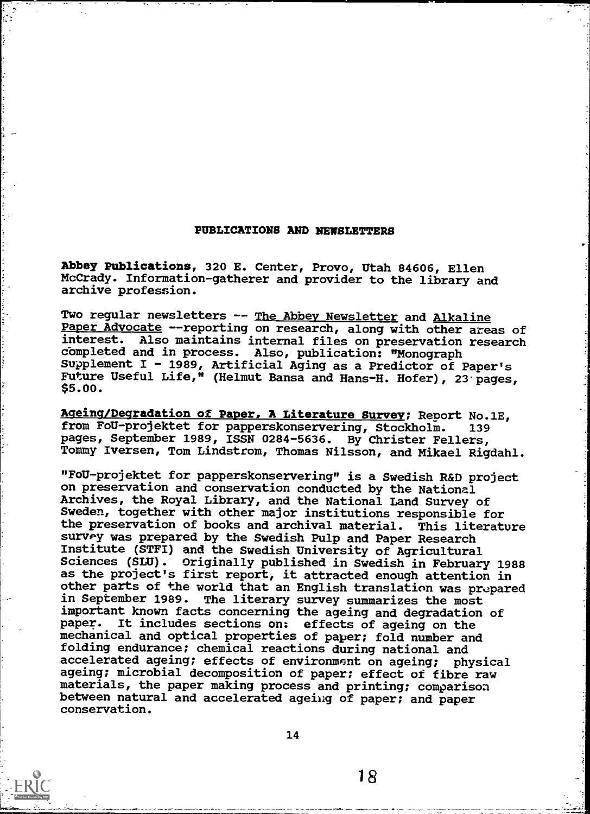#### PUBLICATIONS AND NEWSLETTERS

Abbey Publications, 320 E. Center, Provo, Utah 84606, Ellen McCrady. Information-gatherer and provider to the library and archive profession.

Two regular newsletters -- The Abbey Newsletter and Alkaline Paper Advocate --reporting on research, along with other areas of interest. Also maintains internal files on preservation research completed and in process. Also, publication: "Monograph Supplement I - 1989, Artificial Aging as a Predictor of Paper's Future Useful Life," (Helmut Bansa and Hans-H. Hofer), 23 pages, \$5.00.

Ageing/Degradation of Paper, A Literature Survey; Report No.1E, from FoU-projektet for papperskonservering, Stockholm. 139 pages, September 1989, ISSN 0284-5636. By Christer Fellers, Tommy Iversen, Tom Lindstrom, Thomas Nilsson, and Mikael Rigdahl.

"FoU-projektet for papperskonservering" is a Swedish R&D project on preservation and conservation conducted by the National Archives, the Royal Library, and the National Land Survey of Sweden, together with other major institutions responsible for the preservation of books and archival material. This literature survey was prepared by the Swedish Pulp and Paper Research Institute (STFI) and the Swedish University of Agricultural Sciences (SLU). Originally published in Swedish in February 1988 as the project's first report, it attracted enough attention in other parts of the world that an English translation was prepared in September 1989. The literary survey summarizes the most important known facts concerning the ageing and degradation of paper. It includes sections on: effects of ageing on the mechanical and optical properties of paper; fold number and folding endurance; chemical reactions during national and accelerated ageing; effects of environment on ageing; physical ageing; microbial decomposition of paper; effect or fibre raw materials, the paper making process and printing; comparison between natural and accelerated ageing of paper; and paper conservation.

14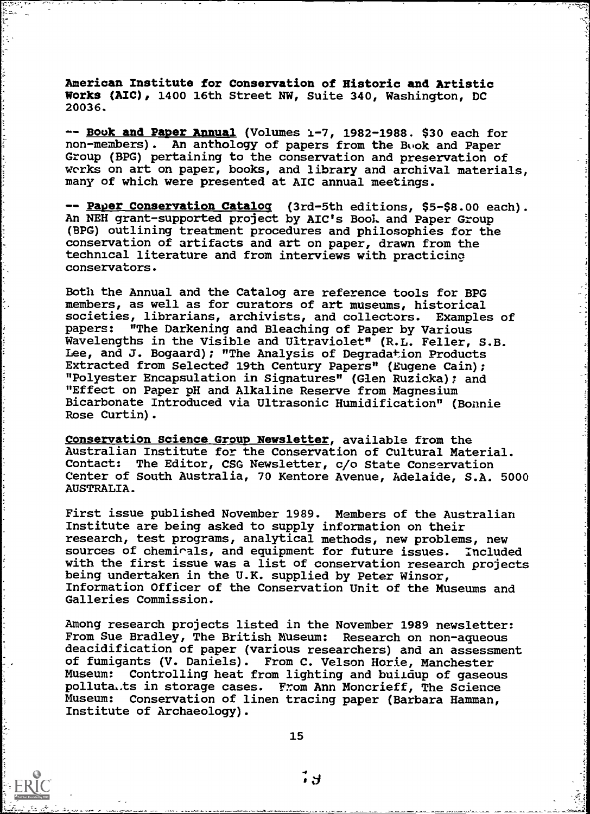American Institute for Conservation of Historic and Artistic Works (AIC), 1400 16th Street NW, Suite 340, Washington, DC 20036.

-- Book and Paper Annual (Volumes 1-7, 1982-1988. \$30 each for non-members). An anthology of papers from the Book and Paper Group (BPG) pertaining to the conservation and preservation of wcrks on art on paper, books, and library and archival materials, many of which were presented at AIC annual meetings.

-- Paper Conservation Catalog (3rd-5th editions, \$5-\$8.00 each). An NEH grant-supported project by AIC's Book and Paper Group (BPG) outlining treatment procedures and philosophies for the conservation of artifacts and art on paper, drawn from the technical literature and from interviews with practicing conservators.

Both the Annual and the Catalog are reference tools for BPG members, as well as for curators of art museums, historical societies, librarians, archivists, and collectors. Examples of<br>papers: "The Darkening and Bleaching of Paper by Various "The Darkening and Bleaching of Paper by Various Wavelengths in the Visible and Ultraviolet" (R.L. Feller, S.B. Lee, and J. Bogaard); "The Analysis of Degradation Products Extracted from Selected 19th Century Papers" (Eugene Cain); "Polyester Encapsulation in Signatures" (Glen Ruzicka); and "Effect on Paper pH and Alkaline Reserve from Magnesium Bicarbonate Introduced via Ultrasonic Humidification" (Bonnie Rose Curtin).

Conservation Science Group Newsletter, available from the Australian Institute for the Conservation of Cultural Material. Contact: The Editor, CSG Newsletter, c/o State Conservation Center of South Australia, 70 Kentore Avenue, Adelaide, S.A. 5000 AUSTRALIA.

First issue published November 1989. Members of the Australian Institute are being asked to supply information on their research, test programs, analytical methods, new problems, new sources of chemicals, and equipment for future issues. Included with the first issue was a list of conservation research projects being undertaken in the U.K. supplied by Peter Winsor, Information Officer of the Conservation Unit of the Museums and Galleries Commission.

Among research projects listed in the November 1989 newsletter: From Sue Bradley, The British Museum: Research on non-aqueous deacidification of paper (various researchers) and an assessment of fumigants (V. Daniels). From C. Velson Horie, Manchester Museum: Controlling heat from lighting and buildup of gaseous polluta,,ts in storage cases. From Ann Moncrieff, The Science Museum: Conservation of linen tracing paper (Barbara Hamman, Institute of Archaeology).

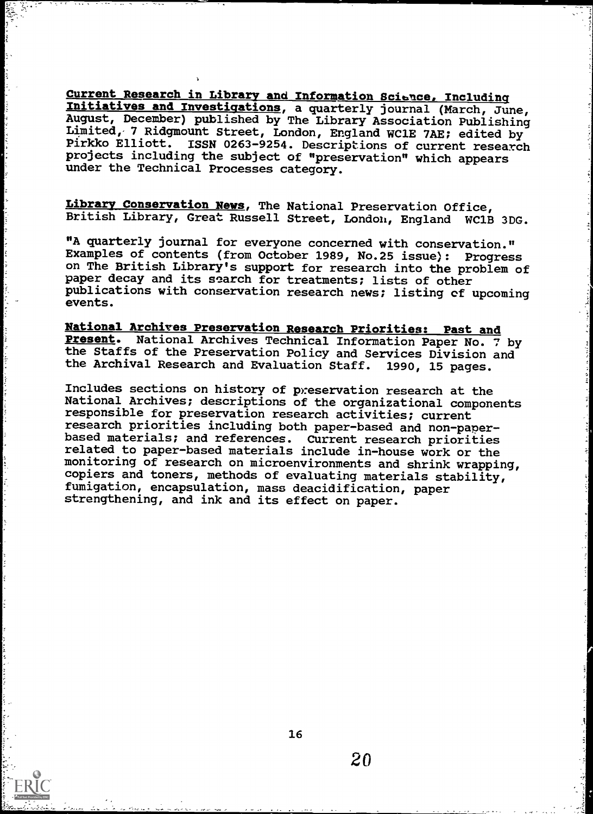Current Research in Library and Information Science, Including Initiatives and Investigations, a quarterly journal (March, June, August, December) published by The Library Association Publishing Limited, 7 Ridgmount Street, London, England WC1E 7AE; edited by Pirkko Elliott. ISSN 0263-9254. Descriptions of current research projects including the subject of "preservation" which appears under the Technical Processes category.

Library Conservation News, The National Preservation Office, British Library, Great Russell Street, London, England WC1B 3DG.

"A quarterly journal for everyone concerned with conservation." Examples of contents (from October 1989, No.25 issue): Progress on The British Library's support for research into the problem of paper decay and its search for treatments; lists of other publications with conservation research news; listing of upcoming events.

National Archives Preservation Research Priorities: Past and Present. National Archives Technical Information Paper No. 7 by the Staffs of the Preservation Policy and Services Division and the Archival Research and Evaluation Staff. 1990, 15 pages.

Includes sections on history of preservation research at the National Archives; descriptions of the organizational components responsible for preservation research activities; current research priorities including both paper-based and non-paperbased materials; and references. Current research priorities related to paper-based materials include in-house work or the monitoring of research on microenvironments and shrink wrapping, copiers and toners, methods of evaluating materials stability, fumigation, encapsulation, mass deacidification, paper strengthening, and ink and its effect on paper.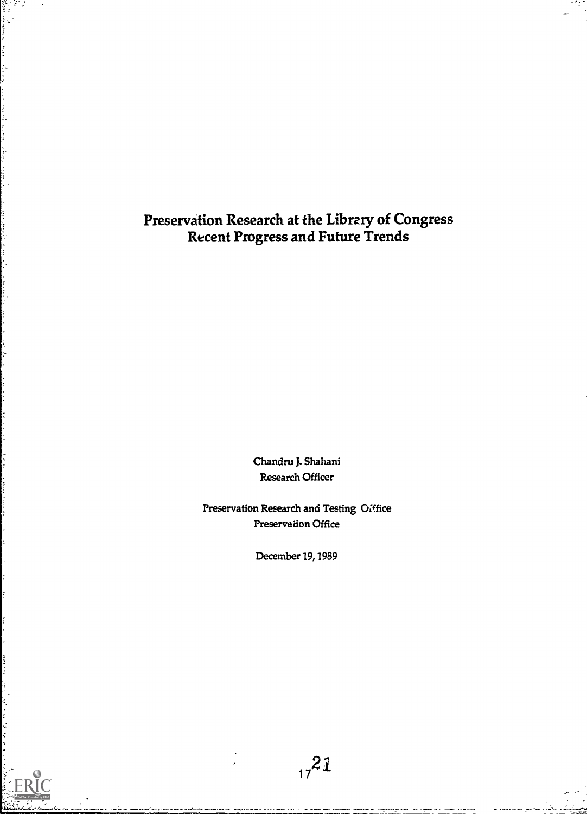Preservation Research at the Library of Congress Recent Progress and Future Trends

> Chandru J. Shahani Research Officer

Preservation Research and Testing Office Preservation Office

December 19, 1989

 $17^{21}$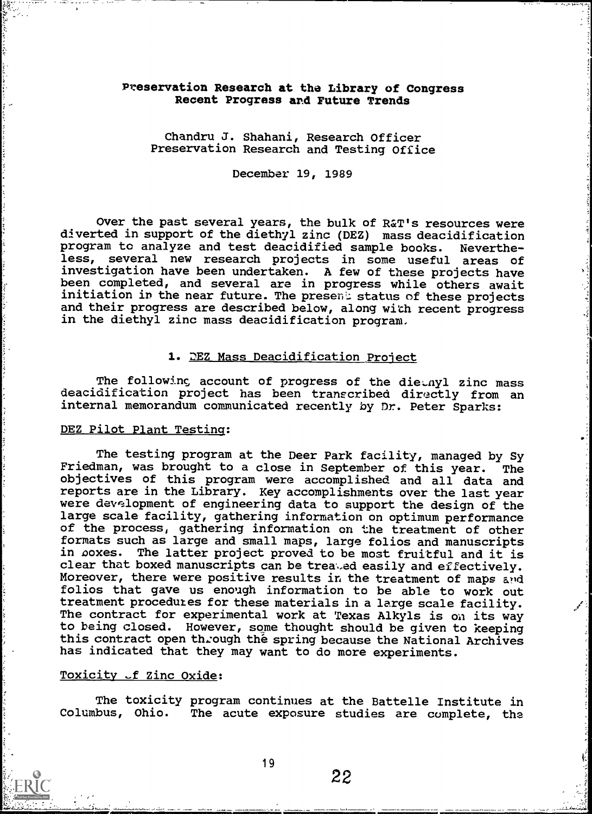#### Preservation Research at the Library of Congress Recent Progress and Future Trends

#### Chandru J. Shahani, Research Officer Preservation Research and Testing Office

December 19, 1989

Over the past several years, the bulk of R&T's resources were diverted in support of the diethyl zinc (DEZ) mass deacidification program to analyze and test deacidified sample books. Nevertheless, several new research projects in some useful areas of investigation have been undertaken. A few of these projects have been completed, and several are in progress while others await initiation in the near future. The present status of these projects and their progress are described below, along with recent progress in the diethyl zinc mass deacidification program.

#### 1. DEZ Mass Deacidification Project

The following account of progress of the dieunyl zinc mass deacidification project has been transcribed directly from an internal memorandum communicated recently by Dr. Peter Sparks:

#### DEZ Pilot Plant Testing:

The testing program at the Deer Park facility, managed by Sy Friedman, was brought to a close in September of this year. The objectives of this program were accomplished and all data and reports are in the Library. Key accomplishments over the last year were development of engineering data to support the design of the large scale facility, gathering information on optimum performance of the process, gathering information on the treatment of other formats such as large and small maps, large folios and manuscripts in boxes. The latter project proved to be most fruitful and it is clear that boxed manuscripts can be trea..ed easily and effectively. Moreover, there were positive results in the treatment of maps and folios that gave us enough information to be able to work out treatment procedures for these materials in a large scale facility. The contract for experimental work at Texas Alkyls is on its way to being closed. However, some thought should be given to keeping this contract open through the spring because the National Archives has indicated that they may want to do more experiments.

#### Toxicity of Zinc Oxide:

The toxicity program continues at the Battelle Institute in Columbus, Ohio. The acute exposure studies are complete, the

19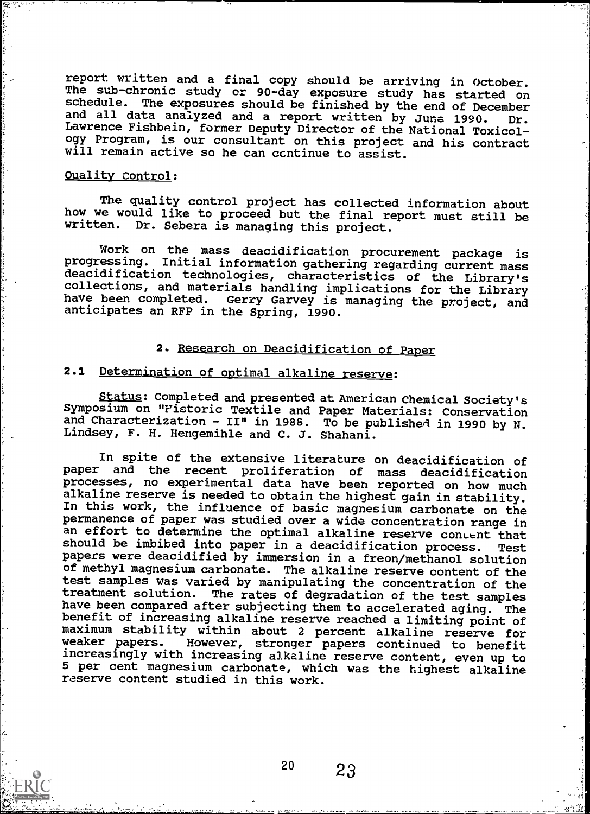report written and a final copy should be arriving in October. The sub-chronic study or 90-day exposure study has started on schedule. The exposures should be finished by the end of December and all data analyzed and a report written by June 1990. Dr. Lawrence Fishbein, former Deputy Director of the National Toxicology Program, is our consultant on this project and his contract will remain active so he can ccntinue to assist.

#### Quality Control:

The quality control project has collected information about how we would like to proceed but the final report must still be written. Dr. Sebera is managing this project.

Work on the mass deacidification procurement package is progressing. Initial information gathering regarding current mass deacidification technologies, characteristics of the Library's collections, and materials handling implications for the Library have been completed. Gerry Garvey is managing the project, and anticipates an RFP in the Spring, 1990.

#### 2. Research on Deacidification of Paper

### 2.1 Determination of optimal alkaline reserve:

Status: Completed and presented at American Chemical Society's Symposium on "Pistoric Textile and Paper Materials: Conservation and Characterization - II" in 1988. To be publishe4 in 1990 by N. Lindsey, F. H. Hengemihle and C. J. Shahani.

In spite of the extensive literature on deacidification of paper and the recent proliferation of mass deacidification processes, no experimental data have been reported on how much alkaline reserve is needed to obtain the highest gain in stability. In this work, the influence of basic magnesium carbonate on the permanence of paper was studied over a wide concentration range in an effort to determine the optimal alkaline reserve concent that<br>should be imbibed into paper in a deacidification process. Test should be imbibed into paper in a deacidification process. papers were deacidified by immersion in a freon/methanol solution of methyl magnesium carbonate. The alkaline reserve content of the test samples was varied by manipulating the concentration of the treatment solution. The rates of degradation of the test samples have been compared after subjecting them to accelerated aging. The benefit of increasing alkaline reserve reached a limiting point of maximum stability within about 2 percent alkaline reserve for<br>weaker papers. However, stronger papers continued to benefit weaker papers. However, stronger papers continued to benefit<br>increasingly with increasing alkaline reserve content, even up to 5 per cent magnesium carbonate, which was the highest alkaline reserve content studied in this work.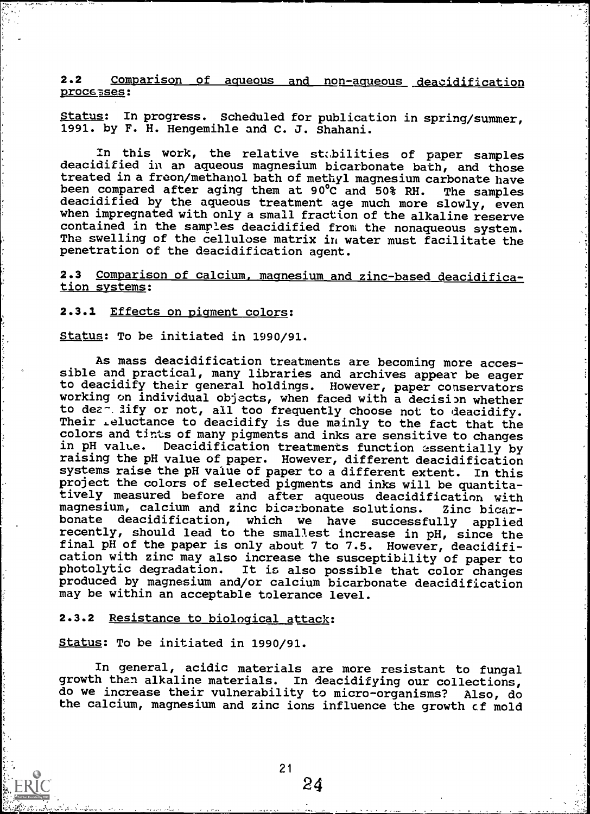2.2 Comparison of aqueous and non-aqueous deacidification processes:

...111111==i,

Status: In progress. Scheduled for publication in spring/summer, 1991. by F. H. Hengemihle and C. J. Shahani.

In this work, the relative stabilities of paper samples deacidified in an aqueous magnesium bicarbonate bath, and those treated in a freon/methanol bath of methyl magnesium carbonate have been compared after aging them at 90°C and 50% RH. The samples deacidified by the aqueous treatment age much more slowly, even when impregnated with only a small fraction of the alkaline reserve contained in the samples deacidified from the nonaqueous system. The swelling of the cellulose matrix in water must facilitate the penetration of the deacidification agent.

2.3 Comparison of calcium, magnesium and zinc-based deacidification systems:

2.3.1 Effects on pigment colors:

Status: To be initiated in 1990/91.

As mass deacidification treatments are becoming more accessible and practical, many libraries and archives appear be eager to deacidify their general holdings. However, paper conservators working on individual objects, when faced with a decision whether to dea<sup>-</sup>. lify or not, all too frequently choose not to deacidify. Their reluctance to deacidify is due mainly to the fact that the colors and tints of many pigments and inks are sensitive to changes in pH value. Deacidification treatments function essentially by raising the pH value of paper. However, different deacidification systems raise the pH value of paper to a different extent. In this project the colors of selected pigments and inks will be quantitatively measured before and after aqueous deacidification with<br>magnesium, calcium and zinc bicarbonate solutions. Zinc bicarmagnesium, calcium and zinc bicarbonate solutions. bonate deacidification, which we have successfully applied recently, should lead to the smallest increase in pH, since the final pH of the paper is only about 7 to 7.5. However, deacidification with zinc may also increase the susceptibility of paper to photolytic degradation. It is also possible that color changes produced by magnesium and/or calcium bicarbonate deacidification may be within an acceptable tolerance level.

#### 2.3.2 Resistance to biological attack:

Status: To be initiated in 1990/91.

In general, acidic materials are more resistant to fungal growth than alkaline materials. In deacidifying our collections, do we increase their vulnerability to micro-organisms? Also, do the calcium, magnesium and zinc ions influence the growth of mold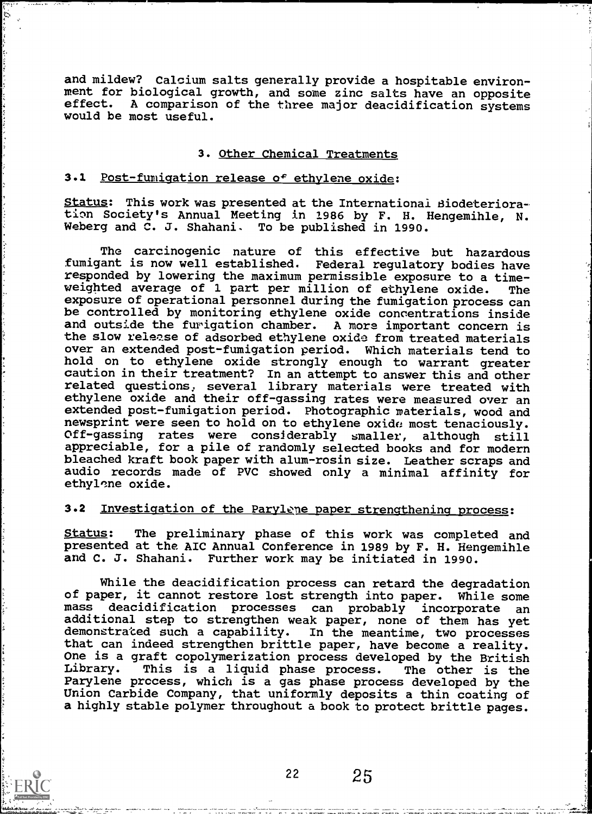and mildew? Calcium salts generally provide a hospitable environment for biological growth, and some zinc salts have an opposite effect. A comparison of the three major deacidification systems would be most useful.

#### 3. Other Chemical Treatments

#### 3.1 Post-fumigation release of ethylene oxide:

Status: This work was presented at the International Biodeterioration Society's Annual Meeting in 1986 by F. H. Hengemihle, N. Weberg and C. J. Shahani. To be published in 1990.

The carcinogenic nature of this effective but hazardous fumigant is now well established. Federal regulatory bodies have responded by lowering the maximum permissible exposure to a time-<br>weighted average of 1 part per million of ethylene oxide. The weighted average of 1 part per million of ethylene oxide. exposure of operational personnel during the fumigation process can be controlled by monitoring ethylene oxide concentrations inside and outside the furigation chamber. A more important concern is the slow relerzse of adsorbed ethylene oxide from treated materials over an extended post-fumigation period. Which materials tend to hold on to ethylene oxide strongly enough to warrant greater caution in their treatment? In an attempt to answer this and other related questions, several library materials were treated with ethylene oxide and their off-gassing rates were measured over an extended post-fumigation period. Photographic materials, wood and newsprint were seen to hold on to ethylene oxide most tenaciously. Off-gassing rates were considerably smaller, although still appreciable, for a pile of randomly selected books and for modern bleached kraft book paper with alum-rosin size. Leather scraps and audio records made of PVC showed only a minimal affinity for ethylone oxide.

### 3.2 Investigation of the Parylene paper strengthening process:

Status: The preliminary phase of this work was completed and presented at the. AIC Annual Conference in 1989 by F. H. Hengemihle and C. J. Shahani. Further work may be initiated in 1990.

While the deacidification process can retard the degradation of paper, it cannot restore lost strength into paper. While some mass deacidification processes can probably incorporate an additional step to strengthen weak paper, none of them has yet demonstrated such a capability. In the meantime, two processes that can indeed strengthen brittle paper, have become a reality. One is a graft copolymerization process developed by the British<br>Library. This is a liquid phase process. The other is the This is a liquid phase process. The other is the Parylene process, which is a gas phase process developed by the Union Carbide Company, that uniformly deposits a thin coating of a highly stable polymer throughout a book to protect brittle pages.

22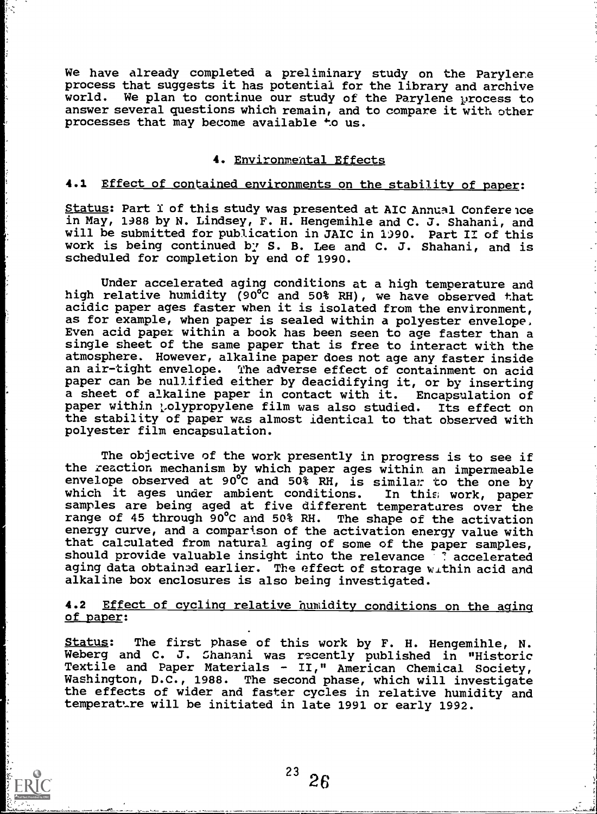We have already completed a preliminary study on the Parylere process that suggests it has potential for the library and archive world. We plan to continue our study of the Parylene process to answer several questions which remain, and to compare it with other processes that may become available to us.

#### 4. Environmental Effects

#### 4.1 Effect of contained environments on the stability of paper:

Status: Part I of this study was presented at AIC Annual Confere ice in May, 1988 by N. Lindsey, F. H. Hengemihle and C. J. Shahani, and will be submitted for publication in JAIC in 1990. Part II of this work is being continued by S. B. Lee and C. J. Shahani, and is scheduled for completion by end of 1990.

Under accelerated aging conditions at a high temperature and high relative humidity (90°C and 50% RH), we have observed that acidic paper ages faster when it is isolated from the environment, as for example, when paper is sealed within a polyester envelope. Even acid paper within a book has been seen to age faster than a single sheet of the same paper that is free to interact with the atmosphere. However, alkaline paper does not age any faster inside an air-tight envelope. The adverse effect of containment on acid paper can be nullified either by deacidifying it, or by inserting a sheet of alkaline paper in contact with it. Encapsulation of paper within polypropylene film was also studied. Its effect on the stability of paper was almost identical to that observed with polyester film encapsulation.

The objective of the work presently in progress is to see if the reaction mechanism by which paper ages within an impermeable envelope observed at 90°C and 50% RH, is similar to the one by which it ages under ambient conditions. In this work, paper samples are being aged at five different temperatures over the range of 45 through 90°C and 50% RH. The shape of the activation energy curve, and a comparison of the activation energy value with that calculated from natural aging of some of the paper samples, should provide valuable insight into the relevance <sup>7</sup> ? accelerated aging data obtainad earlier. The effect of storage within acid and alkaline box enclosures is also being investigated.

#### 4.2 Effect of cycling relative humidity conditions on the aging of paper:

Status: The first phase of this work by F. H. Hengemihle, N. Weberg and C. J. Shahani was recently published in "Historic Textile and Paper Materials - II," American Chemical Society, Washington, D.C., 1988. The second phase, which will investigate the effects of wider and faster cycles in relative humidity and temperat.re will be initiated in late 1991 or early 1992.

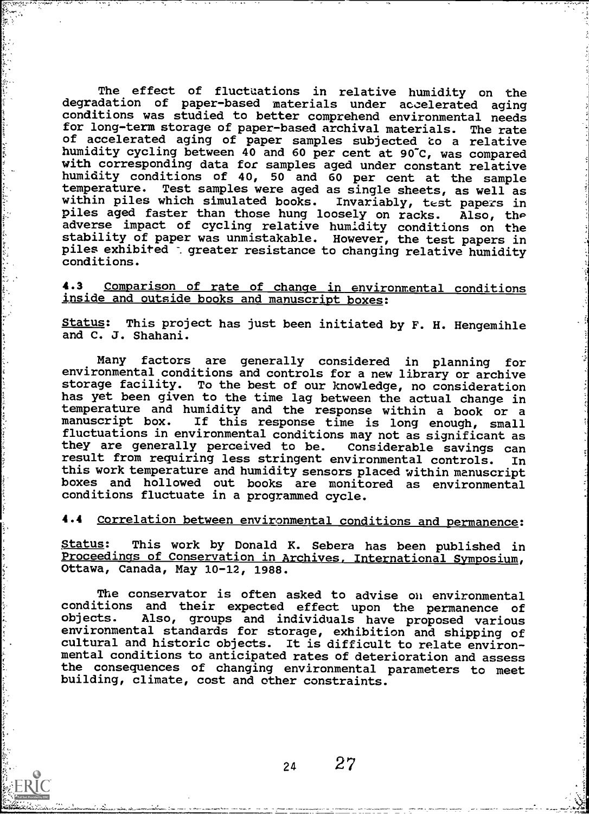The effect of fluctuations in relative humidity on the degradation of paper-based materials under accelerated aging conditions was studied to better comprehend environmental needs for long-term storage of paper-based archival materials. The rate of accelerated aging of paper samples subjected to a relative humidity cycling between 40 and 60 per cent at 90°C, was compared with corresponding data for samples aged under constant relative humidity conditions of 40, 50 and 60 per cent at the sample<br>temperature. Test samples were aged as single sheets, as well as Test samples were aged as single sheets, as well as which simulated books. Invariably, test papers in within piles which simulated books. Invariably, test papers in<br>piles aged faster than those hung loosely on racks. Also, the piles aged faster than those hung loosely on racks. adverse impact of cycling relative humidity conditions on the stability of paper was unmistakable. However, the test papers in piles exhibited greater resistance to changing relative humidity conditions.

4.3 Comparison of rate of change in environmental conditions inside and outside books and manuscript boxes:

Status: This project has just been initiated by F. H. Hengemihle and C. J. Shahani.

Many factors are generally considered in planning for environmental conditions and controls for a new library or archive storage facility. To the best of our knowledge, no consideration has yet been given to the time lag between the actual change in temperature and humidity and the response within a book or a manuscript box. If this response time is long enough, small If this response time is long enough, small fluctuations in environmental conditions may not as significant as they are generally perceived to be. Considerable savings can they are generally perceived to be. result from requiring less stringent environmental controls. In this work temperature and humidity sensors placed within manuscript boxes and hollowed out books are monitored as environmental conditions fluctuate in a programmed cycle.

4.4 Correlation between environmental conditions and permanence:

Status: This work by Donald K. Sebera has been published in Proceedings of Conservation in Archives, International Symposium, Ottawa, Canada, May 10-12, 1988.

The conservator is often asked to advise on environmental conditions and their expected effect upon the permanence of Also, groups and individuals have proposed various environmental standards for storage, exhibition and shipping of cultural and historic objects. It is difficult to relate environmental conditions to anticipated rates of deterioration and assess the consequences of changing environmental parameters to meet building, climate, cost and other constraints.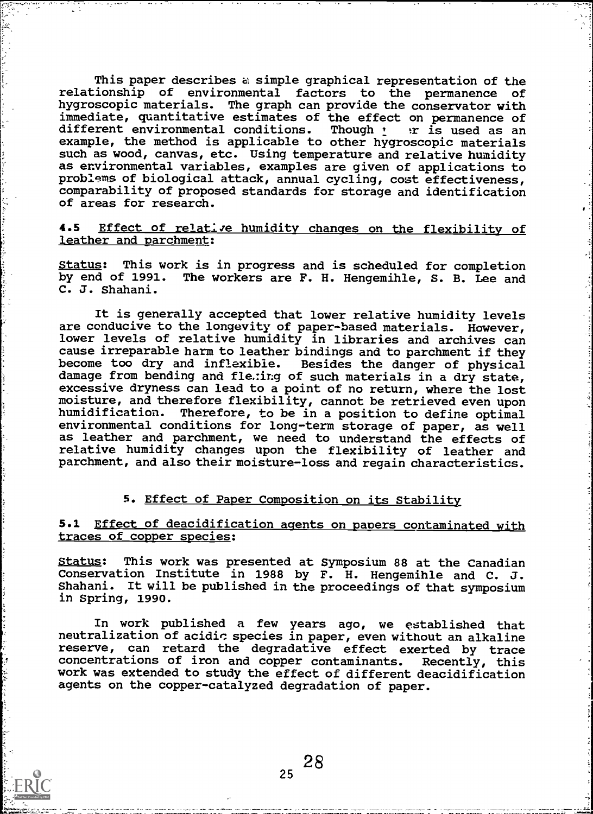This paper describes a simple graphical representation of the relationship of environmental factors to the permanence of hygroscopic materials. The graph can provide the conservator with immediate, quantitative estimates of the effect on permanence of different environmental conditions. Though  $\cdot$  ir is used as an different environmental conditions. Though  $r$ example, the method is applicable to other hygroscopic materials such as wood, canvas, etc. Using temperature and relative humidity as environmental variables, examples are given of applications to problems of biological attack, annual cycling, cost effectiveness, comparability of proposed standards for storage and identification of areas for research.

4.5 Effect of relative humidity changes on the flexibility of leather and parchment:

Status: This work is in progress and is scheduled for completion by end of 1991. The workers are F. H. Hengemihle, S. B. Lee and C. J. Shahani.

It is generally accepted that lower relative humidity levels are conducive to the longevity of paper-based materials. However, lower levels of relative humidity in libraries and archives can cause irreparable harm to leather bindings and to parchment if they become too dry and inflexible. Besides the danger of physical damage from bending and fle.ing of such materials in a dry state, excessive dryness can lead to a point of no return, where the lost moisture, and therefore flexibility, cannot be retrieved even upon humidification. Therefore, to be in a position to define optimal environmental conditions for long-term storage of paper, as well as leather and parchment, we need to understand the effects of relative humidity changes upon the flexibility of leather and parchment, and also their moisture-loss and regain characteristics.

#### S. Effect of Paper Composition on its Stability

#### 5.1 Effect of deacidification agents on papers contaminated with traces of copper species:

Status: This work was presented at Symposium 88 at the Canadian Conservation Institute in 1988 by F. H. Hengemihle and C. J. Shahani. It will be published in the proceedings of that symposium in Spring, 1990.

In work published a few years ago, we established that neutralization of acidic species in paper, even without an alkaline reserve, can retard the degradative effect exerted by trace concentrations of iron and copper contaminants. Recently, this work was extended to study the effect of different deacidification agents on the copper-catalyzed degradation of paper.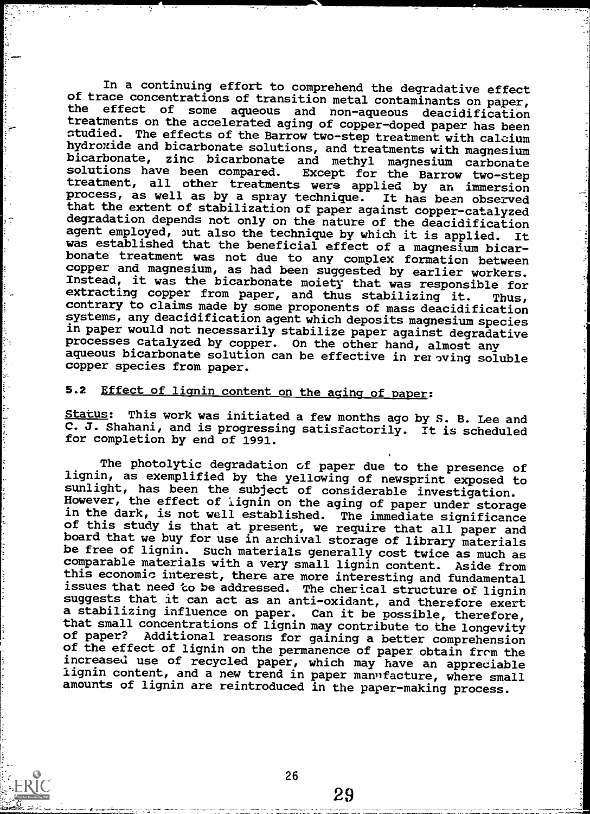In a continuing effort to comprehend the degradative effect of trace concentrations of transition metal contaminants on paper,<br>the effect of some aqueous and non-aqueous deacidification treatments on the accelerated aging of copper-doped paper has been studied. The effects of the Barrow two-step treatment with calcium hydroxide and bicarbonate solutions, and treatments with magnesium bicarbonate, zinc bicarbonate and methyl magnesium carbonate<br>solutions have been compared. Except for the Barrow two-step Except for the Barrow two-step treatment, all other treatments were applied by an immersion<br>process, as well as by a spray technique. It has been observed process, as well as by a spray technique. that the extent of stabilization of paper against copper-catalyzed degradation depends not only on the nature of the deacidification agent employed, sut also the technique by which it is applied. It was established that the beneficial effect of a magnesium bicar- bonate treatment was not due to any complex formation between copper and magnesium, as had Instead, it was the bicarbonate moiety that was responsible for<br>extracting copper from paper, and thus stabilizing it. Thus,<br>contrary to claims made by some proponents of mass deacidification systems, any deacidification agent which deposits magnesium species in paper would not necessarily stabilize paper against degradative processes catalyzed by copper. On the other hand, almost any aqueous bicarbonate solution can be effective in rer oving soluble copper species from paper.

## 5.2 Effect of lignin content on the aging of paper:

Status: This work was initiated a few months ago by S. B. Lee and  $\overline{c. J.}$  Shahani, and is progressing satisfactorily. It is scheduled for completion by end of 1991.

The photolytic degradation of paper due to the presence of<br>lignin, as exemplified by the yellowing of newsprint exposed to sunlight, has been the subject of considerable investigation. However, the effect of iignin on the aging of paper under storage in the dark, is not well established. The immediate significance of this study is that at present, we require that all paper and board that we buy for use in archival storage of library materials be free of lignin. Such materials generally cost twice as much as comparable materials with a very small lignin content. Aside from this economic interest, there are more interesting and fundamental issues that need to be addressed. The cherical structure of lignin suggests that it can act as an anti-oxidant, and therefore exert a stabilizing influence on paper. Can it be possible, therefore, that small concentrations of lignin may contribute to the longevity of paper? Additional reasons for gaining a better comprehension<br>of the effect of lignin on the permanence of paper obtain from the increased use of recycled paper, which may have an appreciable lignin content, and a new trend in paper mannfacture, where small amounts of lignin are reintroduced in the paper-making process.

26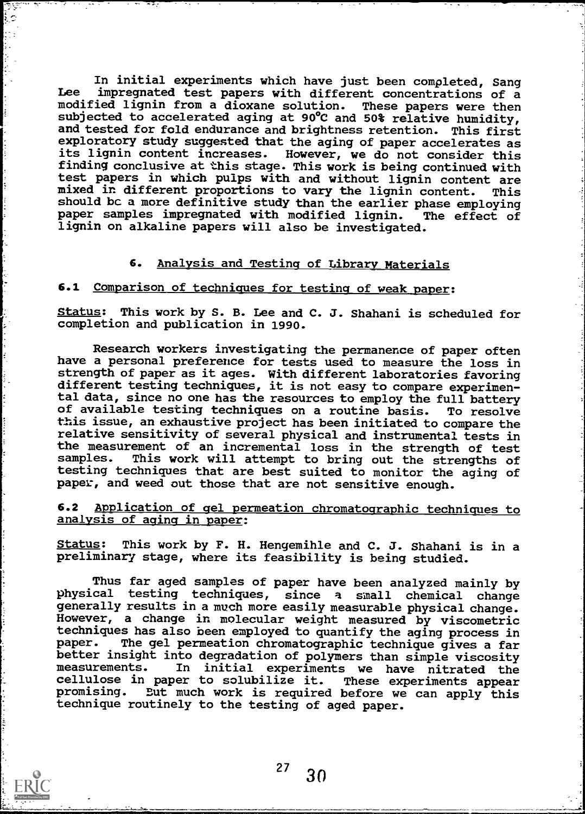In initial experiments which have just been completed, Sang Lee impregnated test papers with different concentrations of a modified lignin from a dioxane solution. These papers were then subjected to accelerated aging at 90°C and 50% relative humidity, and tested for fold endurance and brightness retention. This first exploratory study suggested that the aging of paper accelerates as<br>its lignin content increases. However, we do not consider this However, we do not consider this finding conclusive at this stage. This work is being continued with test papers in which pulps with and without lignin content are<br>mixed in different proportions to vary the lignin content. This mixed in different proportions to vary the lignin content. should be a more definitive study than the earlier phase employing paper samples impregnated with modified lignin. The effect of lignin on alkaline papers will also be investigated.

#### 6. Analysis and Testing of Library Materials

#### 6.1 Comparison of techniques for testing of weak paper:

r.

Status: This work by S. B. Lee and C. J. Shahani is scheduled for completion and publication in 1990.

Research workers investigating the permanence of paper often have a personal preference for tests used to measure the loss in strength of paper as it ages. With different laboratories favoring different testing techniques, it is not easy to compare experimental data, since no one has the resources to employ the full battery of available testing techniques on a routine basis. To resolve this issue, an exhaustive project has been initiated to compare the relative sensitivity of several physical and instrumental tests in the measurement of an incremental loss in the strength of test<br>samples. This work will attempt to bring out the strengths of This work will attempt to bring out the strengths of testing techniques that are best suited to monitor the aging of paper, and weed out those that are not sensitive enough.

#### 6.2 Application of gel permeation chromatographic techniques to analysis of aging in paper:

Status: This work by F. H. Hengemihle and C. J. Shahani is in a preliminary stage, where its feasibility is being studied.

Thus far aged samples of paper have been analyzed mainly by physical testing techniques, since a small chemical change generally results in a much more easily measurable physical change. However, a change in molecular weight measured by viscometric techniques has also been employed to quantify the aging process in<br>paper. The gel permeation chromatographic technique gives a far The gel permeation chromatographic technique gives a far better insight into degradation of polymers than simple viscosity<br>measurements. In initial experiments we have nitrated the In initial experiments we have nitrated the<br>er to solubilize it. These experiments appear cellulose in paper to solubilize it.<br>promising. But much work is required But much work is required before we can apply this technique routinely to the testing of aged paper.